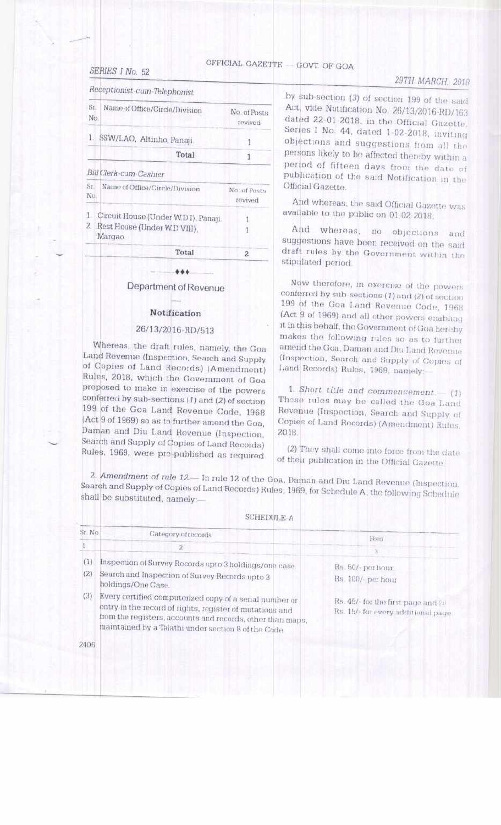#### SERIES I No. 52

OFFICIAL GAZETTE - GOVT OF GOA

### 29TH MARCH, 2018

Receptionist-cum-Telephonist

| Sr.<br>No:          | Name of Office/Circle/Division                                                  | No. of Posts<br>revived |
|---------------------|---------------------------------------------------------------------------------|-------------------------|
| L                   | SSW/LAO, Altinho, Panaji.                                                       |                         |
|                     | <b>Total</b>                                                                    | 1                       |
|                     | Bill Clerk-cum-Cashier                                                          |                         |
| $S_{\Gamma}$<br>No. | Name of Office/Circle/Division                                                  | No. of Posts<br>revived |
| 1.<br>2.            | Circuit House (Under W.D I), Panaji.<br>Rest House (Under W.D VIII).<br>Матдао. |                         |
|                     | Total                                                                           | 2                       |
|                     | and the County                                                                  |                         |

Department of Revenue

#### Notification

#### 26/13/2016-RD/513

Whereas, the draft rules, namely, the Goa Land Revenue (Inspection, Search and Supply of Copies of Land Records) (Amendment) Rules, 2018, which the Government of Goa proposed to make in exercise of the powers conferred by sub-sections (1) and (2) of section 199 of the Goa Land Revenue Code, 1968 (Act 9 of 1969) so as to further amend the Goa, Daman and Diu Land Revenue (Inspection, Search and Supply of Copies of Land Records) Rules, 1969, were pre-published as required

2406

by sub-section (3) of section 199 of the said Act, vide Notification No. 26/13/2016-RD/163 dated 22-01-2018, in the Official Gazette, Series I No. 44, dated 1-02-2018, inviting objections and suggestions from all the persons likely to be affected thereby within a period of fifteen days from the date of publication of the said Notification in the Official Gazette

And whereas, the said Official Gazette was available to the public on 01 02 2018.

And whereas, no objections and suggestions have been received on the said draft rules by the Government within the stipulated period.

Now therefore, in exercise of the powers conferred by sub-sections (1) and (2) of section 199 of the Goa Land Revenue Code, 1968 (Act 9 of 1969) and all other powers enabling it in this behalf, the Government of Goa hereby makes the following rules so as to further amend the Goa, Daman and Diu Land Revenue (Inspection, Search and Supply of Copies of Land Records) Rules, 1969, namely:

1. Short title and commencement. (1) Those rules may be called the Goa Land Revenue (Inspection, Search and Supply of Copies of Land Records) (Amendment) Rules. 2018

(2) They shall come into force from the date of their publication in the Official Gazette.

2. Amendment of rule 12.— In rule 12 of the Goa, Daman and Dui Land Revenue (Inspection, Search and Supply of Copies of Land Records) Rules, 1969, for Schedule A, the following Schedule shall be substituted, namely:

**SCHEDULE A** 

| St No | Category of records                                                                                                                                                                                                                      | Fibrit                                                                   |  |
|-------|------------------------------------------------------------------------------------------------------------------------------------------------------------------------------------------------------------------------------------------|--------------------------------------------------------------------------|--|
|       |                                                                                                                                                                                                                                          |                                                                          |  |
| (1)   | Inspection of Survey Records upto 3 holdings/one case.                                                                                                                                                                                   | Rs. 50/- per hour                                                        |  |
| (2)   | Search and Inspection of Survey Records upto 3<br>holdings/One Case.                                                                                                                                                                     | Rs. 100/ per hour                                                        |  |
| (3)   | Every certified computerized copy of a serial number or<br>entry in the record of rights, register of mutations and<br>from the registers, accounts and records, other than maps.<br>maintained by a Talathi under section 8 of the Code | Rs. 45/- for the first page and @<br>Rs. 15/- for every additional page. |  |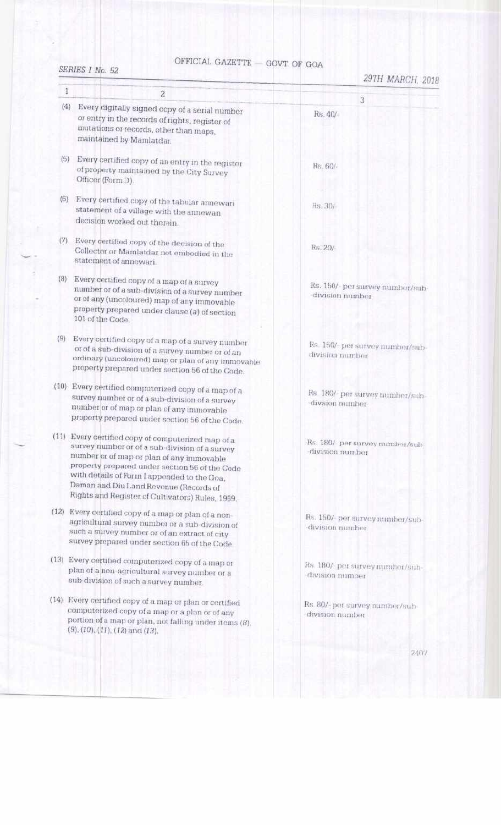### OFFICIAL GAZETTE  $-$  GOVT OF GOA

#### SERIES I No. 52

| 1   | $\overline{\mathbf{2}}$                                                                                                                                                                                                                                                                                                                          |                                                     |
|-----|--------------------------------------------------------------------------------------------------------------------------------------------------------------------------------------------------------------------------------------------------------------------------------------------------------------------------------------------------|-----------------------------------------------------|
| (4) | Every digitally signed copy of a serial number                                                                                                                                                                                                                                                                                                   | 3<br>Rs. 40/-                                       |
|     | or entry in the records of rights, register of<br>mutations or records, other than maps,<br>maintained by Mamlatdar.                                                                                                                                                                                                                             |                                                     |
| (5) | Every certified copy of an entry in the register<br>of property maintained by the City Survey<br>Officer (Form D).                                                                                                                                                                                                                               | Rs. 60/-                                            |
| (6) | Every certified copy of the tabular annewari<br>statement of a village with the annewan<br>decision worked out therein.                                                                                                                                                                                                                          | Rs. 30/                                             |
| (7) | Every certified copy of the decision of the<br>Collector or Mamlatdar not embodied in the<br>statement of annewari.                                                                                                                                                                                                                              | Rs. 20/-                                            |
| (8) | Every certified copy of a map of a survey<br>number or of a sub-division of a survey number<br>or of any (uncoloured) map of any immovable<br>property prepared under clause (a) of section<br>101 of the Code.                                                                                                                                  | Rs. 150/- per survey number/sub-<br>division number |
| (9) | Every certified copy of a map of a survey number<br>or of a sub-division of a survey number or of an<br>ordinary (uncoloured) map or plan of any immovable<br>property prepared under section 56 of the Code.                                                                                                                                    | Rs. 150/ per survey number/sub-<br>division number  |
|     | (10) Every certified computerized copy of a map of a<br>survey number or of a sub-division of a survey<br>number or of map or plan of any immovable<br>property prepared under section 56 of the Code.                                                                                                                                           | Rs 180/ per survey number/sub-<br>-divsion number   |
|     | (11) Every certified copy of computerized map of a<br>survey number or of a sub-division of a survey<br>number or of map or plan of any immovable<br>property prepared under section 56 of the Code<br>with details of Form I appended to the Goa,<br>Daman and Diu Land Revenue (Records of<br>Rights and Register of Cultivators) Rules, 1969. | Rs. 180/ per survey number/sub-<br>division number  |
|     | (12) Every certified copy of a map or plan of a non-<br>agricultural survey number or a sub-division of<br>such a survey number or of an extract of city<br>survey prepared under section 65 of the Code                                                                                                                                         | Rs. 150/- per survey number/sub-<br>division number |
|     | (13) Every certified computerized copy of a map or<br>plan of a non-agricultural survey number or a<br>sub-division of such a survey number.                                                                                                                                                                                                     | Rs. 180/ per survey number/sub-<br>division number  |
|     | (14) Every certified copy of a map or plan or certified<br>computerized copy of a map or a plan or of any<br>portion of a map or plan, not falling under items $(B)$ ,<br>$(9), (10), (11), (12)$ and $(13)$ .                                                                                                                                   | Rs. 80/- per survey number/sub-<br>division number  |
|     |                                                                                                                                                                                                                                                                                                                                                  | 2407                                                |
|     |                                                                                                                                                                                                                                                                                                                                                  |                                                     |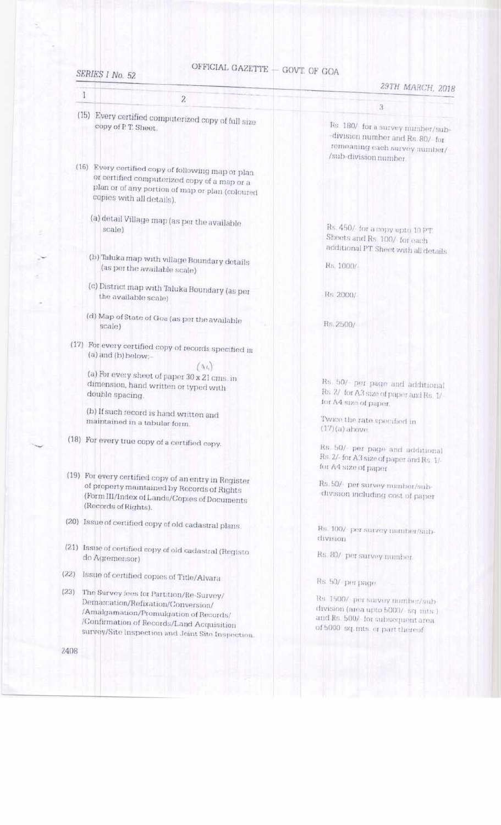#### SERIES I No. 52

# OFFICIAL GAZETTE  $-$  GOVT. OF GOA

| 1                                                                                                                                                                                                                                  | 29TH MARCH, 2018                                                                                                                                |
|------------------------------------------------------------------------------------------------------------------------------------------------------------------------------------------------------------------------------------|-------------------------------------------------------------------------------------------------------------------------------------------------|
| $\mathbf{z}$                                                                                                                                                                                                                       | 3                                                                                                                                               |
| (15) Every certified computerized copy of full size<br>copy of P.T. Sheet.                                                                                                                                                         | Rs. 180/ for a survey number/sub-<br>division number and Rs. 80/ for<br>remeaning each survey number/<br>/sub-division number.                  |
| (16) Every certified copy of following map or plan<br>or certified computerized copy of a map or a<br>plan or of any portion of map or plan (coloured<br>copies with all details).                                                 |                                                                                                                                                 |
| (a) detail Village map (as per the available<br>scale)                                                                                                                                                                             | Rs. 450/ for a copy up to 10 PT.<br>Sheets and Rs 100/ for each<br>additional PT Sheet with all details                                         |
| (b) Taluka map with village Boundary details<br>(as per the available scale)                                                                                                                                                       | Rs. 1000/                                                                                                                                       |
| (c) District map with Taluka Boundary (as per<br>the available scale)                                                                                                                                                              | Rs. 2000/-                                                                                                                                      |
| (d) Map of State of Goa (as per the available<br>scale)                                                                                                                                                                            | Rs. 2500/                                                                                                                                       |
| (17) For every certified copy of records specified in<br>(a) and (b) below:-                                                                                                                                                       |                                                                                                                                                 |
| $(A_4)$<br>(a) For every sheet of paper 30 x 21 cms. in<br>dimension, hand written or typed with<br>double spacing.                                                                                                                | Rs. 50/- per page and additional<br>Rs. 2/ for A3 size of paper and Rs. 1/-<br>for A4 size of paper.                                            |
| (b) If such record is hand written and<br>maintained in a tabular form.                                                                                                                                                            | Twice the rate specified in<br>$(17)(a)$ above.                                                                                                 |
| (18) For every true copy of a certified copy.                                                                                                                                                                                      | Rs. 50/ per page and additional<br>Rs. 2/- for A3 size of paper and Rs. 1/-<br>for A4 size of paper                                             |
| (19) For every certified copy of an entry in Register<br>of property maintained by Records of Rights<br>(Form III/Index of Lands/Copies of Documents)<br>(Records of Rights).                                                      | Rs. 50/- per survey number/sub-<br>division including cost of paper                                                                             |
| (20) Issue of certified copy of old cadastral plans.                                                                                                                                                                               | Rs. 100/ per survey number/sub-<br>division                                                                                                     |
| (21) Issue of certified copy of old cadastral (Registo<br>do Agremensor)                                                                                                                                                           | Rs. 80/ per survey number.                                                                                                                      |
| (22)<br>Issue of certified copies of Title/Alvara                                                                                                                                                                                  | Rs. 50/ per page.                                                                                                                               |
| (23)<br>The Survey fees for Partition/Re-Survey/<br>Demarcation/Refixation/Conversion/<br>/Amalgamation/Promulgation of Records/<br>/Confirmation of Records/Land Acquisition<br>survey/Site Inspection and Joint Site Inspection. | Re 1500/ per survey mimber/sub-<br>division (area upto 5000/- sq. mts.)<br>and Rs. 500/ for subsequent area<br>of 5000 sq. mts. or part thereof |
| 2408                                                                                                                                                                                                                               |                                                                                                                                                 |
|                                                                                                                                                                                                                                    |                                                                                                                                                 |